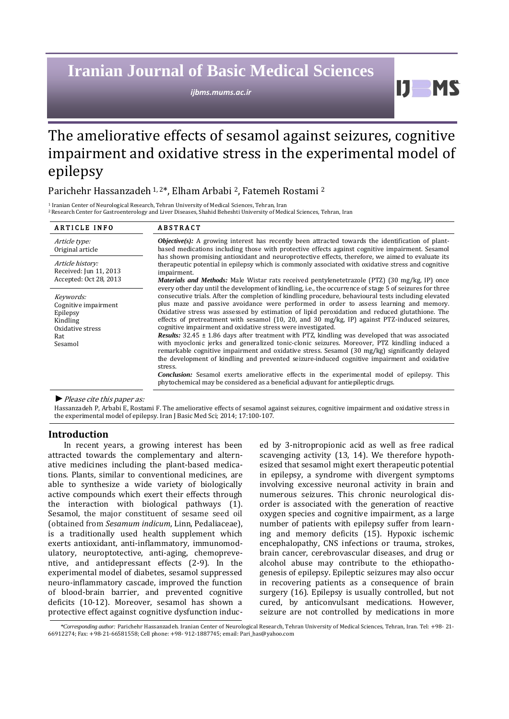# **Iranian Journal of Basic Medical Sciences**

*ijbms.mums.ac.ir*

The ameliorative effects of sesamol against seizures, cognitive impairment and oxidative stress in the experimental model of epilepsy

# Parichehr Hassanzadeh 1, 2\*, Elham Arbabi <sup>2</sup>, Fatemeh Rostami <sup>2</sup>

<sup>1</sup> Iranian Center of Neurological Research, Tehran University of Medical Sciences, Tehran, Iran <sup>2</sup>Research Center for Gastroenterology and Liver Diseases, Shahid Beheshti University of Medical Sciences, Tehran, Iran

| <b>ARTICLE INFO</b>                                                                             | <b>ABSTRACT</b>                                                                                                                                                                                                                                                                                                                                                                                                                                                                                                                                                                                                                                                                                                                                                                                                                                                                                                                                                                                                                                                                                                                                                                                                                                                                                                                                                                                                                                                                                                                                                                                                                                                                    |
|-------------------------------------------------------------------------------------------------|------------------------------------------------------------------------------------------------------------------------------------------------------------------------------------------------------------------------------------------------------------------------------------------------------------------------------------------------------------------------------------------------------------------------------------------------------------------------------------------------------------------------------------------------------------------------------------------------------------------------------------------------------------------------------------------------------------------------------------------------------------------------------------------------------------------------------------------------------------------------------------------------------------------------------------------------------------------------------------------------------------------------------------------------------------------------------------------------------------------------------------------------------------------------------------------------------------------------------------------------------------------------------------------------------------------------------------------------------------------------------------------------------------------------------------------------------------------------------------------------------------------------------------------------------------------------------------------------------------------------------------------------------------------------------------|
| Article type:<br>Original article                                                               | <b><i>Objective(s):</i></b> A growing interest has recently been attracted towards the identification of plant-<br>based medications including those with protective effects against cognitive impairment. Sesamol<br>has shown promising antioxidant and neuroprotective effects, therefore, we aimed to evaluate its<br>therapeutic potential in epilepsy which is commonly associated with oxidative stress and cognitive<br>impairment.<br><i>Materials and Methods:</i> Male Wistar rats received pentylenetetrazole (PTZ) (30 mg/kg, IP) once<br>every other day until the development of kindling, i.e., the occurrence of stage 5 of seizures for three<br>consecutive trials. After the completion of kindling procedure, behavioural tests including elevated<br>plus maze and passive avoidance were performed in order to assess learning and memory.<br>Oxidative stress was assessed by estimation of lipid peroxidation and reduced glutathione. The<br>effects of pretreatment with sesamol $(10, 20,$ and $30 \text{ mg/kg}$ , IP) against PTZ-induced seizures,<br>cognitive impairment and oxidative stress were investigated.<br><b>Results:</b> $32.45 \pm 1.86$ days after treatment with PTZ, kindling was developed that was associated<br>with myoclonic jerks and generalized tonic-clonic seizures. Moreover, PTZ kindling induced a<br>remarkable cognitive impairment and oxidative stress. Sesamol (30 mg/kg) significantly delayed<br>the development of kindling and prevented seizure-induced cognitive impairment and oxidative<br>stress.<br><b>Conclusion:</b> Sesamol exerts ameliorative effects in the experimental model of epilepsy. This |
| Article history:<br>Received: Jun 11, 2013<br>Accepted: Oct 28, 2013                            |                                                                                                                                                                                                                                                                                                                                                                                                                                                                                                                                                                                                                                                                                                                                                                                                                                                                                                                                                                                                                                                                                                                                                                                                                                                                                                                                                                                                                                                                                                                                                                                                                                                                                    |
| Keywords:<br>Cognitive impairment<br>Epilepsy<br>Kindling<br>Oxidative stress<br>Rat<br>Sesamol |                                                                                                                                                                                                                                                                                                                                                                                                                                                                                                                                                                                                                                                                                                                                                                                                                                                                                                                                                                                                                                                                                                                                                                                                                                                                                                                                                                                                                                                                                                                                                                                                                                                                                    |

#### *►*Please cite this paper as:

Hassanzadeh P, Arbabi E, Rostami F. The ameliorative effects of sesamol against seizures, cognitive impairment and oxidative stress in the experimental model of epilepsy. Iran J Basic Med Sci; 2014; 17:100-107.

# **Introduction**

In recent years, a growing interest has been attracted towards the complementary and alternative medicines including the plant-based medications. Plants, similar to conventional medicines, are able to synthesize a wide variety of biologically active compounds which exert their effects through the interaction with biological pathways (1). Sesamol, the major constituent of sesame seed oil (obtained from *Sesamum indicum*, Linn, Pedaliaceae), is a traditionally used health supplement which exerts antioxidant, anti-inflammatory, immunomodulatory, neuroptotective, anti-aging, chemopreventive, and antidepressant effects (2-9). In the experimental model of diabetes, sesamol suppressed neuro-inflammatory cascade, improved the function of blood-brain barrier, and prevented cognitive deficits (10-12). Moreover, sesamol has shown a protective effect against cognitive dysfunction induced by 3-nitropropionic acid as well as free radical scavenging activity (13, 14). We therefore hypothesized that sesamol might exert therapeutic potential in epilepsy, a syndrome with divergent symptoms involving excessive neuronal activity in brain and numerous seizures. This chronic neurological disorder is associated with the generation of reactive oxygen species and cognitive impairment, as a large number of patients with epilepsy suffer from learning and memory deficits (15). Hypoxic ischemi[c](http://en.wikipedia.org/wiki/Hypoxic_ischemic_encephalopathy) [encephalopathy,](http://en.wikipedia.org/wiki/Hypoxic_ischemic_encephalopathy) CNS infections or trauma, strokes, brain cancer, cerebrovascular diseases, and drug or alcohol abuse may contribute to the ethiopathogenesis of epilepsy. Epileptic seizures may also occur in recovering patients as a consequence of brain surgery (16). Epilepsy is usually controlled, but not cured, by anticonvulsant medications. However, seizure are not controlled by medications in more

H

*\*Corresponding author:* Parichehr Hassanzadeh. Iranian Center of Neurological Research, Tehran University of Medical Sciences, Tehran, Iran. Tel: +98- 21- 66912274; Fax: +98-21-66581558; Cell phone: +98- 912-1887745; email: Pari\_has@yahoo.com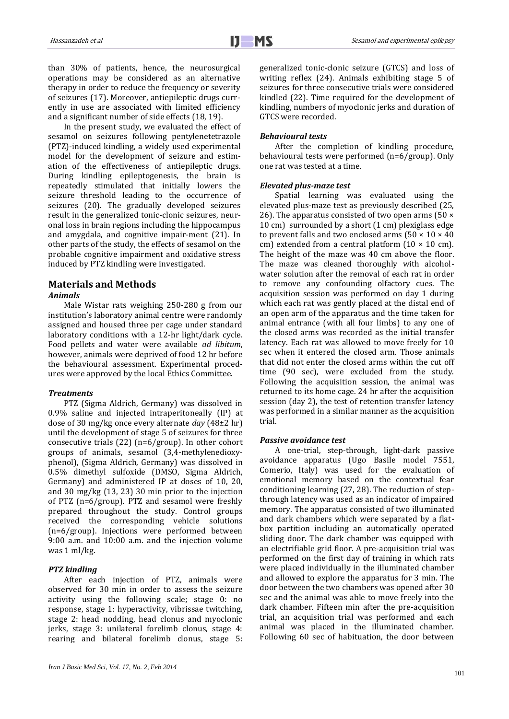than 30% of patients, hence, the neurosurgical operations may be considered as an alternative therapy in order to reduce the frequency or severity of seizures (17). Moreover, antiepileptic drugs currently in use are associated with limited efficiency and a significant number of side effects (18, 19).

In the present study, we evaluated the effect of sesamol on seizures following pentylenetetrazole (PTZ)-induced kindling, a widely used experimental model for the development of seizure and estimation of the effectiveness of antiepileptic drugs. During kindling epileptogenesis, the brain is repeatedly stimulated that initially lowers the seizure threshold leading to the occurrence of seizures (20). The gradually developed seizures result in the generalized tonic-clonic seizures, neuronal loss in brain regions including the hippocampus and amygdala, and cognitive impair-ment (21). In other parts of the study, the effects of sesamol on the probable cognitive impairment and oxidative stress induced by PTZ kindling were investigated.

# **Materials and Methods**

# *Animals*

Male Wistar rats weighing 250-280 g from our institution's laboratory animal centre were randomly assigned and housed three per cage under standard laboratory conditions with a 12-hr light/dark cycle. Food pellets and water were available *ad libitum*, however, animals were deprived of food 12 hr before the behavioural assessment. Experimental procedures were approved by the local Ethics Committee.

# *Treatments*

PTZ (Sigma Aldrich, Germany) was dissolved in 0.9% saline and injected intraperitoneally (IP) at dose of 30 mg/kg once every alternate *day* (48±2 hr) until the development of stage 5 of seizures for three consecutive trials (22) (n=6/group). In other cohort groups of animals, sesamol (3,4-methylenedioxyphenol), (Sigma Aldrich, Germany) was dissolved in 0.5% dimethyl sulfoxide (DMSO, Sigma Aldrich, Germany) and administered IP at doses of 10, 20, and 30 mg/kg (13, 23) 30 min prior to the injection of PTZ (n=6/group). PTZ and sesamol were freshly prepared throughout the study. Control groups received the corresponding vehicle solutions (n=6/group). Injections were performed between 9:00 a.m. and 10:00 a.m. and the injection volume was 1 ml/kg.

# *PTZ kindling*

After each injection of PTZ, animals were observed for 30 min in order to assess the seizure activity using the following scale; stage 0: no response, stage 1: hyperactivity, vibrissae twitching, stage 2: head nodding, head clonus and myoclonic jerks, stage 3: unilateral forelimb clonus, stage 4: rearing and bilateral forelimb clonus, stage 5: generalized tonic-clonic seizure (GTCS) and loss of writing reflex (24). Animals exhibiting stage 5 of seizures for three consecutive trials were considered kindled (22). Time required for the development of kindling, numbers of myoclonic jerks and duration of GTCS were recorded.

#### *Behavioural tests*

After the completion of kindling procedure, behavioural tests were performed (n=6/group). Only one rat was tested at a time.

#### *Elevated plus-maze test*

Spatial learning was evaluated using the elevated plus-maze test as previously described (25, 26). The apparatus consisted of two open arms (50  $\times$ 10 cm) surrounded by a short (1 cm) plexiglass edge to prevent falls and two enclosed arms ( $50 \times 10 \times 40$ cm) extended from a central platform  $(10 \times 10 \text{ cm})$ . The height of the maze was 40 cm above the floor. The maze was cleaned thoroughly with alcoholwater solution after the removal of each rat in order to remove any confounding olfactory cues. The acquisition session was performed on day 1 during which each rat was gently placed at the distal end of an open arm of the apparatus and the time taken for animal entrance (with all four limbs) to any one of the closed arms was recorded as the initial transfer latency. Each rat was allowed to move freely for 10 sec when it entered the closed arm. Those animals that did not enter the closed arms within the cut off time (90 sec), were excluded from the study. Following the acquisition session, the animal was returned to its home cage. 24 hr after the acquisition session (day 2), the test of retention transfer latency was performed in a similar manner as the acquisition trial.

#### *Passive avoidance test*

A one-trial, step-through, light-dark passive avoidance apparatus (Ugo Basile model 7551, Comerio, Italy) was used for the evaluation of emotional memory based on the contextual fear conditioning learning (27, 28). The reduction of stepthrough latency was used as an indicator of impaired memory. The apparatus consisted of two illuminated and dark chambers which were separated by a flatbox partition including an automatically operated sliding door. The dark chamber was equipped with an electrifiable grid floor. A pre-acquisition trial was performed on the first day of training in which rats were placed individually in the illuminated chamber and allowed to explore the apparatus for 3 min. The door between the two chambers was opened after 30 sec and the animal was able to move freely into the dark chamber. Fifteen min after the pre-acquisition trial, an acquisition trial was performed and each animal was placed in the illuminated chamber. Following 60 sec of habituation, the door between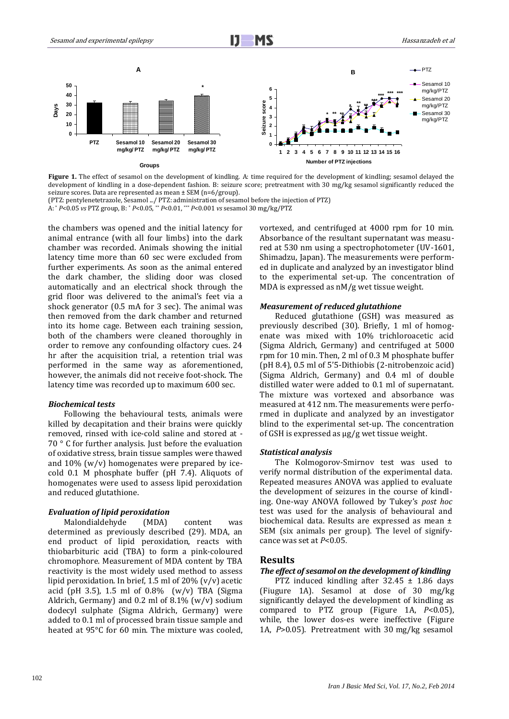

 **Figure 1.** The effect of sesamol on the development of kindling. A: time required for the development of kindling; sesamol delayed the development of kindling in a dose-dependent fashion. B: seizure score; pretreatment with 30 mg/kg sesamol significantly reduced the seizure scores. Data are represented as mean ± SEM (n=6/group).

(PTZ: pentylenetetrazole, Sesamol .../ PTZ: administration of sesamol before the injection of PTZ)

A: \* *P*<0.05 *vs* PTZ group, B: \* *P*<0.05, \*\* *P*<0.01, \*\*\* *P*<0.001 *vs* sesamol 30 mg/kg/PTZ

the chambers was opened and the initial latency for animal entrance (with all four limbs) into the dark chamber was recorded. Animals showing the initial latency time more than 60 sec were excluded from further experiments. As soon as the animal entered the dark chamber, the sliding door was closed automatically and an electrical shock through the grid floor was delivered to the animal's feet via a shock generator (0.5 mA for 3 sec). The animal was then removed from the dark chamber and returned into its home cage. Between each training session, both of the chambers were cleaned thoroughly in order to remove any confounding olfactory cues. 24 hr after the acquisition trial, a retention trial was performed in the same way as aforementioned, however, the animals did not receive foot-shock. The latency time was recorded up to maximum 600 sec.

#### *Biochemical tests*

Following the behavioural tests, animals were killed by decapitation and their brains were quickly removed, rinsed with ice-cold saline and stored at - 70 ° C for further analysis. Just before the evaluation of oxidative stress, brain tissue samples were thawed and 10% (w/v) homogenates were prepared by icecold 0.1 M phosphate buffer (pH 7.4). Aliquots of homogenates were used to assess lipid peroxidation and reduced glutathione.

#### *Evaluation of lipid peroxidation*

Malondialdehyde (MDA) content was determined as previously described (29). MDA, an end product of lipid peroxidation, reacts with thiobarbituric acid (TBA) to form a pink-coloured chromophore. Measurement of MDA content by TBA reactivity is the most widely used method to assess lipid peroxidation. In brief, 1.5 ml of 20% (v/v) acetic acid (pH 3.5), 1.5 ml of  $0.8\%$  (w/v) TBA (Sigma Aldrich, Germany) and 0.2 ml of  $8.1\%$  (w/v) sodium dodecyl sulphate (Sigma Aldrich, Germany) were added to 0.1 ml of processed brain tissue sample and heated at 95°C for 60 min. The mixture was cooled, vortexed, and centrifuged at 4000 rpm for 10 min. Absorbance of the resultant supernatant was measured at 530 nm using a spectrophotometer (UV-1601, Shimadzu, Japan). The measurements were performed in duplicate and analyzed by an investigator blind to the experimental set-up. The concentration of MDA is expressed as nM/g wet tissue weight.

#### *Measurement of reduced glutathione*

Reduced glutathione (GSH) was measured as previously described (30). Briefly, 1 ml of homogenate was mixed with 10% trichloroacetic acid (Sigma Aldrich, Germany) and centrifuged at 5000 rpm for 10 min. Then, 2 ml of 0.3 M phosphate buffer (pH 8.4), 0.5 ml of 5'5-Dithiobis (2-nitrobenzoic acid) (Sigma Aldrich, Germany) and 0.4 ml of double distilled water were added to 0.1 ml of supernatant. The mixture was vortexed and absorbance was measured at 412 nm. The measurements were performed in duplicate and analyzed by an investigator blind to the experimental set-up. The concentration of GSH is expressed as µg/g wet tissue weight.

#### *Statistical analysis*

The Kolmogorov-Smirnov test was used to verify normal distribution of the experimental data. Repeated measures ANOVA was applied to evaluate the development of seizures in the course of kindling. One-way ANOVA followed by Tukey's *post hoc*  test was used for the analysis of behavioural and biochemical data. Results are expressed as mean ± SEM (six animals per group). The level of signifycance was set at *P*<0.05.

#### **Results**

# *The effect of sesamol on the development of kindling*

PTZ induced kindling after 32.45 ± 1.86 days (Fiugure 1A). Sesamol at dose of 30 mg/kg significantly delayed the development of kindling as compared to PTZ group (Figure 1A, *P*<0.05), while, the lower dos-es were ineffective (Figure 1A, *P*>0.05). Pretreatment with 30 mg/kg sesamol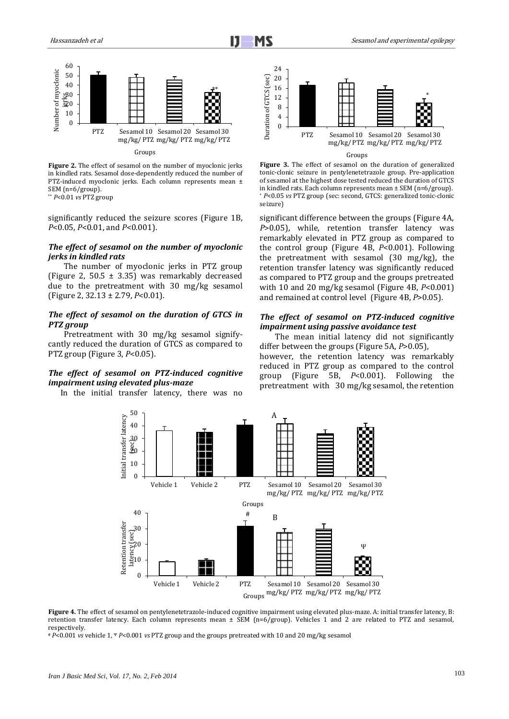

**Figure 2.** The effect of sesamol on the number of myoclonic jerks in kindled rats. Sesamol dose-dependently reduced the number of PTZ-induced myoclonic jerks. Each column represents mean ± SEM (n=6/group).

\*\* *P*<0.01 *vs* PTZ group

significantly reduced the seizure scores (Figure 1B, *P*<0.05, *P*<0.01, and *P*<0.001).

#### *The effect of sesamol on the number of myoclonic jerks in kindled rats*

The number of myoclonic jerks in PTZ group (Figure 2, 50.5 ± 3.35) was remarkably decreased due to the pretreatment with 30 mg/kg sesamol (Figure 2, 32.13 ± 2.79, *P*<0.01).

# *The effect of sesamol on the duration of GTCS in PTZ group*

Pretreatment with 30 mg/kg sesamol signifycantly reduced the duration of GTCS as compared to PTZ group (Figure 3, *P*<0.05).

# *The effect of sesamol on PTZ-induced cognitive impairment using elevated plus-maze*

In the initial transfer latency, there was no



#### Groups

**Figure 3.** The effect of sesamol on the duration of generalized tonic-clonic seizure in pentylenetetrazole group. Pre-application of sesamol at the highest dose tested reduced the duration of GTCS in kindled rats. Each column represents mean ± SEM (n=6/group). \* *P*<0.05 *vs* PTZ group (sec: second, GTCS: generalized tonic-clonic seizure)

significant difference between the groups (Figure 4A, *P*>0.05), while, retention transfer latency was remarkably elevated in PTZ group as compared to the control group (Figure 4B, *P*<0.001). Following the pretreatment with sesamol (30 mg/kg), the retention transfer latency was significantly reduced as compared to PTZ group and the groups pretreated with 10 and 20 mg/kg sesamol (Figure 4B, *P*<0.001) and remained at control level (Figure 4B, *P*>0.05).

# *The effect of sesamol on PTZ-induced cognitive impairment using passive avoidance test*

The mean initial latency did not significantly differ between the groups (Figure 5A, *P*>0.05),

however, the retention latency was remarkably reduced in PTZ group as compared to the control group (Figure 5B, *P*<0.001). Following the pretreatment with 30 mg/kg sesamol, the retention



**Figure 4.** The effect of sesamol on pentylenetetrazole-induced cognitive impairment using elevated plus-maze. A: initial transfer latency, B: retention transfer latency. Each column represents mean ± SEM (n=6/group). Vehicles 1 and 2 are related to PTZ and sesamol, respectively.

# *P*<0.001 *vs* vehicle 1, <sup>Ψ</sup> *P*<0.001 *vs* PTZ group and the groups pretreated with 10 and 20 mg/kg sesamol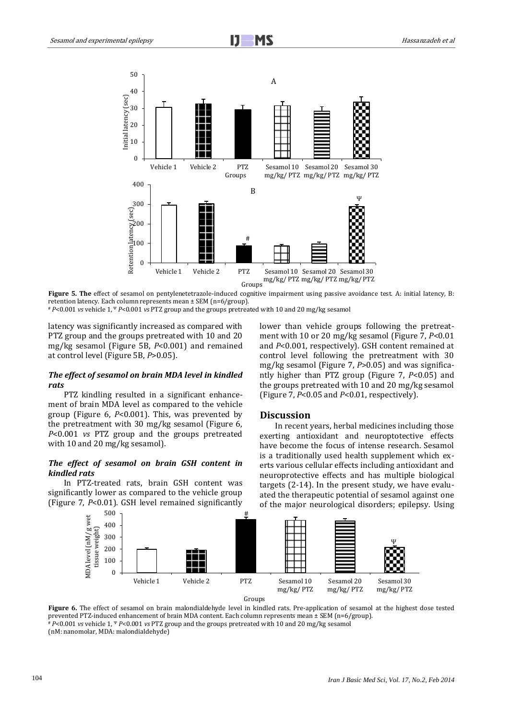

i

**Figure 5. The** effect of sesamol on pentylenetetrazole-induced cognitive impairment using passive avoidance test. A: initial latency, B: retention latency. Each column represents mean ± SEM (n=6/group).

# *P*<0.001 *vs* vehicle 1, <sup>Ψ</sup> *P*<0.001 *vs* PTZ group and the groups pretreated with 10 and 20 mg/kg sesamol

latency was significantly increased as compared with PTZ group and the groups pretreated with 10 and 20 mg/kg sesamol (Figure 5B, *P*<0.001) and remained at control level (Figure 5B, *P*>0.05).

#### *The effect of sesamol on brain MDA level in kindled rats*

PTZ kindling resulted in a significant enhancement of brain MDA level as compared to the vehicle group (Figure 6, *P*<0.001). This, was prevented by the pretreatment with 30 mg/kg sesamol (Figure 6, *P*<0.001 *vs* PTZ group and the groups pretreated with 10 and 20 mg/kg sesamol).

# *The effect of sesamol on brain GSH content in kindled rats*

In PTZ-treated rats, brain GSH content was significantly lower as compared to the vehicle group (Figure 7, *P*<0.01). GSH level remained significantly

lower than vehicle groups following the pretreatment with 10 or 20 mg/kg sesamol (Figure 7, *P*<0.01 and *P*<0.001, respectively). GSH content remained at control level following the pretreatment with 30 mg/kg sesamol (Figure 7, *P*>0.05) and was significantly higher than PTZ group (Figure 7, *P*<0.05) and the groups pretreated with 10 and 20 mg/kg sesamol (Figure 7, *P*<0.05 and *P*<0.01, respectively).

#### **Discussion**

In recent years, herbal medicines including those exerting antioxidant and neuroptotective effects have become the focus of intense research. Sesamol is a traditionally used health supplement which exerts various cellular effects including antioxidant and neuroprotective effects and has multiple biological targets (2-14). In the present study, we have evaluated the therapeutic potential of sesamol against one of the major neurological disorders; epilepsy. Using



Groups

**Figure 6.** The effect of sesamol on brain malondialdehyde level in kindled rats. Pre-application of sesamol at the highest dose tested prevented PTZ-induced enhancement of brain MDA content. Each column represents mean ± SEM (n=6/group). # *P*<0.001 *vs* vehicle 1, <sup>Ψ</sup> *P*<0.001 *vs* PTZ group and the groups pretreated with 10 and 20 mg/kg sesamol

(nM: nanomolar, MDA: malondialdehyde)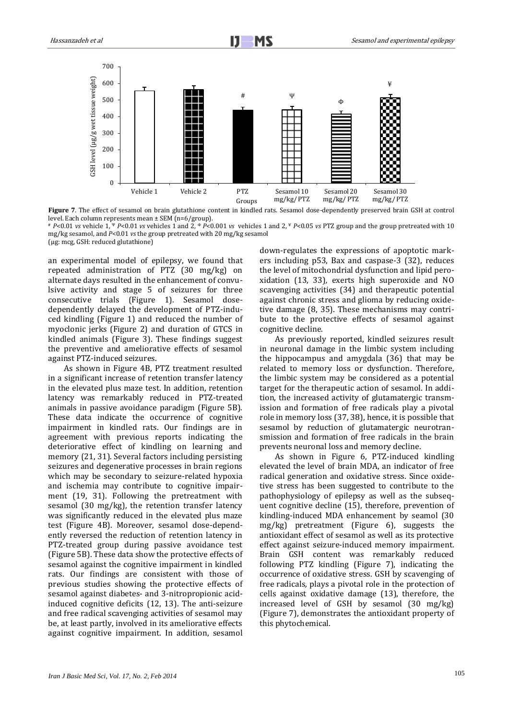

**Figure 7**. The effect of sesamol on brain glutathione content in kindled rats. Sesamol dose-dependently preserved brain GSH at control level. Each column represents mean ± SEM (n=6/group).

# *P*<0.01 *vs* vehicle 1, <sup>Ψ</sup> *P*<0.01 *vs* vehicles 1 and 2, <sup>Φ</sup> *P*<0.001 *vs* vehicles 1 and 2, ¥ *P*<0.05 *vs* PTZ group and the group pretreated with 10 mg/kg sesamol, and *P*<0.01 *vs* the group pretreated with 20 mg/kg sesamol (µg: mcg, GSH: reduced glutathione)

an experimental model of epilepsy, we found that repeated administration of PTZ (30 mg/kg) on alternate days resulted in the enhancement of convulsive activity and stage 5 of seizures for three consecutive trials (Figure 1). Sesamol dosedependently delayed the development of PTZ-induced kindling (Figure 1) and reduced the number of myoclonic jerks (Figure 2) and duration of GTCS in kindled animals (Figure 3). These findings suggest the preventive and ameliorative effects of sesamol against PTZ-induced seizures.

As shown in Figure 4B, PTZ treatment resulted in a significant increase of retention transfer latency in the elevated plus maze test. In addition, retention latency was remarkably reduced in PTZ-treated animals in passive avoidance paradigm (Figure 5B). These data indicate the occurrence of cognitive impairment in kindled rats. Our findings are in agreement with previous reports indicating the deteriorative effect of kindling on learning and memory (21, 31). Several factors including persisting seizures and degenerative processes in brain regions which may be secondary to seizure-related hypoxia and ischemia may contribute to cognitive impairment (19, 31). Following the pretreatment with sesamol (30 mg/kg), the retention transfer latency was significantly reduced in the elevated plus maze test (Figure 4B). Moreover, sesamol dose-dependently reversed the reduction of retention latency in PTZ-treated group during passive avoidance test (Figure 5B). These data show the protective effects of sesamol against the cognitive impairment in kindled rats. Our findings are consistent with those of previous studies showing the protective effects of sesamol against diabetes- and 3-nitropropionic acidinduced cognitive deficits (12, 13). The anti-seizure and free radical scavenging activities of sesamol may be, at least partly, involved in its ameliorative effects against cognitive impairment. In addition, sesamol down-regulates the expressions of apoptotic markers including p53, Bax and caspase-3 (32), reduces the level of mitochondrial dysfunction and lipid peroxidation (13, 33)*,* exerts high superoxide and NO scavenging activities (34) and therapeutic potential against chronic stress and glioma by reducing oxidetive damage (8, 35). These mechanisms may contribute to the protective effects of sesamol against cognitive decline.

As previously reported, kindled seizures result in neuronal damage in the limbic system including the hippocampus and amygdala (36) that may be related to memory loss or dysfunction. Therefore, the limbic system may be considered as a potential target for the therapeutic action of sesamol. In addition, the increased activity of glutamatergic transmission and formation of free radicals play a pivotal role in memory loss (37, 38), hence, it is possible that sesamol by reduction of glutamatergic neurotransmission and formation of free radicals in the brain prevents neuronal loss and memory decline.

As shown in Figure 6, PTZ-induced kindling elevated the level of brain MDA, an indicator of free radical generation and oxidative stress. Since oxidetive stress has been suggested to contribute to the pathophysiology of epilepsy as well as the subsequent cognitive decline (15), therefore, prevention of kindling-induced MDA enhancement by seamol (30 mg/kg) pretreatment (Figure 6), suggests the antioxidant effect of sesamol as well as its protective effect against seizure-induced memory impairment. Brain GSH content was remarkably reduced following PTZ kindling (Figure 7), indicating the occurrence of oxidative stress. GSH by scavenging of free radicals*,* plays a pivotal role in the protection of cells against oxidative damage (13), therefore, the increased level of GSH by sesamol (30 mg/kg) (Figure 7), demonstrates the antioxidant property of this phytochemical.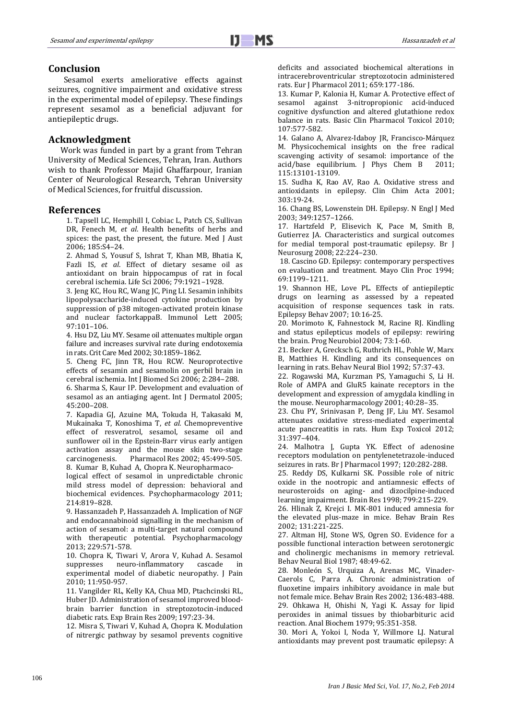# **Conclusion**

Sesamol exerts ameliorative effects against seizures, cognitive impairment and oxidative stress in the experimental model of epilepsy. These findings represent sesamol as a beneficial adjuvant for antiepileptic drugs.

# **Acknowledgment**

Work was funded in part by a grant from Tehran University of Medical Sciences, Tehran, Iran. Authors wish to thank Professor Majid Ghaffarpour, Iranian Center of Neurological Research, Tehran University of Medical Sciences, for fruitful discussion.

#### **References**

1. Tapsell LC, Hemphill I, Cobiac L, Patch CS, Sullivan DR, Fenech M, *et al*. Health benefits of herbs and spices: the past, the present, the future. Med J Aust 2006; 185:S4–24.

2. Ahmad S, Yousuf S, Ishrat T, Khan MB, Bhatia K, Fazli IS, *et al*. Effect of dietary sesame oil as antioxidant on brain hippocampus of rat in focal cerebral ischemia. Life Sci 2006; 79:1921–1928.

3. Jeng KC, Hou RC, Wang JC, Ping LI. Sesamin inhibits lipopolysaccharide-induced cytokine production by suppression of p38 mitogen-activated protein kinase and nuclear factorkappaB. Immunol Lett 2005; 97:101–106.

4. Hsu DZ, Liu MY. Sesame oil attenuates multiple organ failure and increases survival rate during endotoxemia in rats. Crit Care Med 2002; 30:1859–1862.

5. Cheng FC, Jinn TR, Hou RCW. Neuroprotective effects of sesamin and sesamolin on gerbil brain in cerebral ischemia. Int J Biomed Sci 2006; 2:284–288.

6. Sharma S, Kaur IP. Development and evaluation of sesamol as an antiaging agent. Int J Dermatol 2005; 45:200–208.

7. [Kapadia](http://lib.bioinfo.pl/auth:Kapadia,GJ) GJ, [Azuine](http://lib.bioinfo.pl/auth:Azuine,MA) MA, [Tokuda](http://lib.bioinfo.pl/auth:Tokuda,H) H, [Takasaki](http://lib.bioinfo.pl/auth:Takasaki,M) M, [Mukainaka](http://lib.bioinfo.pl/auth:Mukainaka,T) T, [Konoshima](http://lib.bioinfo.pl/auth:Konoshima,T) T, *et al.* [Chemopreventive](http://lib.bioinfo.pl/pmid:12162952)  [effect of resveratrol, sesamol, sesame oil and](http://lib.bioinfo.pl/pmid:12162952)  [sunflower oil in the Epstein-Barr virus early antigen](http://lib.bioinfo.pl/pmid:12162952)  [activation assay and the mouse skin two-stage](http://lib.bioinfo.pl/pmid:12162952)  [carcinogenesis.](http://lib.bioinfo.pl/pmid:12162952) Pharmacol Res 2002; 45:499-505. 8. Kumar B, Kuhad A, Chopra K. Neuropharmaco-

logical effect of sesamol in unpredictable chronic mild stress model of depression: behavioral and biochemical evidences. Psychopharmacology 2011; 214:819–828.

9. Hassanzadeh P, Hassanzadeh A. Implication of NGF and endocannabinoid signalling in the mechanism of action of sesamol: a multi-target natural compound with therapeutic potential. Psychopharmacology 2013; 229:571-578.

10. [Chopra](http://lib.bioinfo.pl/auth:Chopra,K) K, [Tiwari](http://lib.bioinfo.pl/auth:Tiwari,V) V, [Arora](http://lib.bioinfo.pl/auth:Arora,V) V, [Kuhad](http://lib.bioinfo.pl/auth:Kuhad,A) A. [Sesamol](http://lib.bioinfo.pl/pmid:20418182)  [suppresses neuro-inflammatory cascade in](http://lib.bioinfo.pl/pmid:20418182)  [experimental model of diabetic neuropathy.](http://lib.bioinfo.pl/pmid:20418182) J Pain 2010; 11:950-957.

11. [Vangilder](http://lib.bioinfo.pl/auth:Vangilder,R) RL, [Kelly](http://lib.bioinfo.pl/auth:Kelly,K) KA, [Chua](http://lib.bioinfo.pl/auth:Chua,M) MD, [Ptachcinski](http://lib.bioinfo.pl/auth:Ptachcinski,R) RL, [Huber](http://lib.bioinfo.pl/auth:Huber,J) JD[. Administration of sesamol improved blood](http://lib.bioinfo.pl/pmid:19565232)[brain barrier function in streptozotocin-induced](http://lib.bioinfo.pl/pmid:19565232)  [diabetic rats. E](http://lib.bioinfo.pl/pmid:19565232)xp Brain Res 2009; 197:23-34.

12. [Misra](http://lib.bioinfo.pl/auth:Misra,S) S, [Tiwari](http://lib.bioinfo.pl/auth:Tiwari,V) V[, Kuhad](http://lib.bioinfo.pl/auth:Kuhad,A) A[, Chopra](http://lib.bioinfo.pl/auth:Chopra,K) K. Modulation of nitrergic pathway by sesamol prevents cognitive deficits and associated biochemical alterations in intracerebroventricular streptozotocin administered rats. Eur J Pharmacol 2011; 659:177-186.

13[. Kumar P,](http://www.ncbi.nlm.nih.gov/pubmed?term=Kumar%20P%5BAuthor%5D&cauthor=true&cauthor_uid=20102363) [Kalonia H,](http://www.ncbi.nlm.nih.gov/pubmed?term=Kalonia%20H%5BAuthor%5D&cauthor=true&cauthor_uid=20102363) [Kumar A.](http://www.ncbi.nlm.nih.gov/pubmed?term=Kumar%20A%5BAuthor%5D&cauthor=true&cauthor_uid=20102363) Protective effect of sesamol against 3-nitropropionic acid-induced cognitive dysfunction and altered glutathione redox balance in rats. Basic Clin Pharmacol Toxicol 2010; 107:577-582.

14. [Galano](http://lib.bioinfo.pl/auth:Galano,A) A, [Alvarez-Idaboy](http://lib.bioinfo.pl/auth:Alvarez-Idaboy,JR) JR, [Francisco-Márquez](http://lib.bioinfo.pl/auth:Francisco-Márquez,M) M. [Physicochemical insights on the free radical](http://lib.bioinfo.pl/pmid:21967544)  [scavenging activity of sesamol: importance of the](http://lib.bioinfo.pl/pmid:21967544)  [acid/base equilibrium. J Phys Chem B](http://lib.bioinfo.pl/pmid:21967544) 2011; 115:13101-13109.

15. Sudha K, Rao AV, Rao A. Oxidative stress and antioxidants in epilepsy. Clin Chim Acta 2001; 303:19-24.

16. Chang BS, Lowenstein DH. Epilepsy. N Engl J Med 2003; 349:1257–1266.

17. Hartzfeld P, Elisevich K, Pace M, Smith B, Gutierrez JA. Characteristics and surgical outcomes for medial temporal post-traumatic epilepsy. Br J Neurosurg 2008; 22:224–230.

18. Cascino GD. Epilepsy: contemporary perspectives on evaluation and treatment. Mayo Clin Proc 1994; 69:1199–1211.

19. Shannon HE, Love PL. Effects of antiepileptic drugs on learning as assessed by a repeated acquisition of response sequences task in rats. Epilepsy Behav 2007; 10:16-25.

20. Morimoto K, Fahnestock M, Racine RJ. Kindling and status epilepticus models of epilepsy: rewiring the brain. Prog Neurobiol 2004; 73:1-60.

21. Becker A, Grecksch G, Ruthrich HL, Pohle W, Marx B, Matthies H. Kindling and its consequences on learning in rats. Behav Neural Biol 1992; 57:37-43.

22. Rogawski MA, Kurzman PS, Yamaguchi S, Li H. Role of AMPA and GluR5 kainate receptors in the development and expression of amygdala kindling in the mouse. Neuropharmacology 2001; 40:28–35.

23. Chu PY, Srinivasan P, Deng JF, Liu MY. Sesamol attenuates oxidative stress-mediated experimental acute pancreatitis in rats. Hum Exp Toxicol 2012; 31:397–404.

24. Malhotra J, Gupta YK. Effect of adenosine receptors modulation on pentylenetetrazole-induced seizures in rats. Br J Pharmacol 1997; 120:282-288.

25. Reddy DS, Kulkarni SK. Possible role of nitric oxide in the nootropic and antiamnesic effects of neurosteroids on aging- and dizocilpine-induced learning impairment. Brain Res 1998; 799:215-229.

26. Hlinak Z, Krejci I. MK-801 induced amnesia for the elevated plus-maze in mice. Behav Brain Res 2002; 131:221-225.

27. Altman HJ, Stone WS, Ogren SO. Evidence for a possible functional interaction between serotonergic and cholinergic mechanisms in memory retrieval. Behav Neural Biol 1987; 48:49-62.

28. Monleón S, Urquiza A, Arenas MC, Vinader-Caerols C, Parra A. Chronic administration of fluoxetine impairs inhibitory avoidance in male but not female mice. Behav Brain Res 2002; 136:483-488. 29. Ohkawa H, Ohishi N, Yagi K. Assay for lipid peroxides in animal tissues by thiobarbituric acid reaction. Anal Biochem 1979; 95:351-358.

30. Mori A, Yokoi I, Noda Y, Willmore LJ. Natural antioxidants may prevent post traumatic epilepsy: A